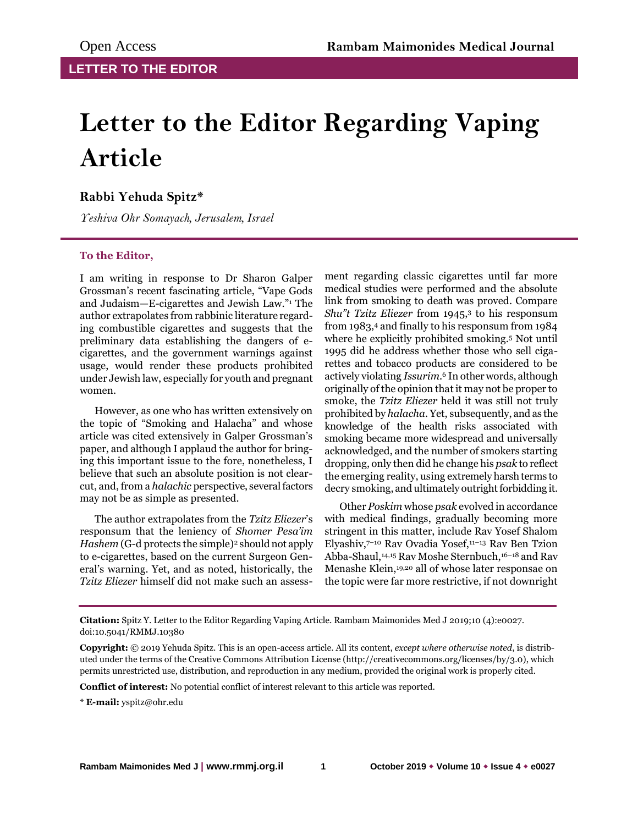## **Letter to the Editor Regarding Vaping Article**

## **Rabbi Yehuda Spitz\***

*Yeshiva Ohr Somayach, Jerusalem, Israel*

## **To the Editor,**

I am writing in response to Dr Sharon Galper Grossman's recent fascinating article, "Vape Gods and Judaism—E-cigarettes and Jewish Law."<sup>1</sup> The author extrapolates from rabbinic literature regarding combustible cigarettes and suggests that the preliminary data establishing the dangers of ecigarettes, and the government warnings against usage, would render these products prohibited under Jewish law, especially for youth and pregnant women.

However, as one who has written extensively on the topic of "Smoking and Halacha" and whose article was cited extensively in Galper Grossman's paper, and although I applaud the author for bringing this important issue to the fore, nonetheless, I believe that such an absolute position is not clearcut, and, from a *halachic* perspective, several factors may not be as simple as presented.

The author extrapolates from the *Tzitz Eliezer*'s responsum that the leniency of *Shomer Pesa'im Hashem* (G-d protects the simple)<sup>2</sup> should not apply to e-cigarettes, based on the current Surgeon General's warning. Yet, and as noted, historically, the *Tzitz Eliezer* himself did not make such an assess-

ment regarding classic cigarettes until far more medical studies were performed and the absolute link from smoking to death was proved. Compare *Shu"t Tzitz Eliezer* from 1945,<sup>3</sup> to his responsum from 1983,<sup>4</sup> and finally to his responsum from 1984 where he explicitly prohibited smoking.<sup>5</sup> Not until 1995 did he address whether those who sell cigarettes and tobacco products are considered to be actively violating *Issurim*. <sup>6</sup> In other words, although originally of the opinion that it may not be proper to smoke, the *Tzitz Eliezer* held it was still not truly prohibited by *halacha*. Yet, subsequently, and as the knowledge of the health risks associated with smoking became more widespread and universally acknowledged, and the number of smokers starting dropping, only then did he change his *psak* to reflect the emerging reality, using extremely harsh terms to decry smoking, and ultimately outright forbidding it.

Other *Poskim* whose *psak* evolved in accordance with medical findings, gradually becoming more stringent in this matter, include Rav Yosef Shalom Elyashiv,7–<sup>10</sup> Rav Ovadia Yosef,11–<sup>13</sup> Rav Ben Tzion Abba-Shaul,14,15 Rav Moshe Sternbuch,16–<sup>18</sup> and Rav Menashe Klein,19,20 all of whose later responsae on the topic were far more restrictive, if not downright

**Conflict of interest:** No potential conflict of interest relevant to this article was reported.

\* **E-mail:** yspitz@ohr.edu

**Citation:** Spitz Y. Letter to the Editor Regarding Vaping Article. Rambam Maimonides Med J 2019;10 (4):e0027. doi:10.5041/RMMJ.10380

**Copyright:** © 2019 Yehuda Spitz. This is an open-access article. All its content, *except where otherwise noted*, is distributed under the terms of the Creative Commons Attribution License (http://creativecommons.org/licenses/by/3.0), which permits unrestricted use, distribution, and reproduction in any medium, provided the original work is properly cited.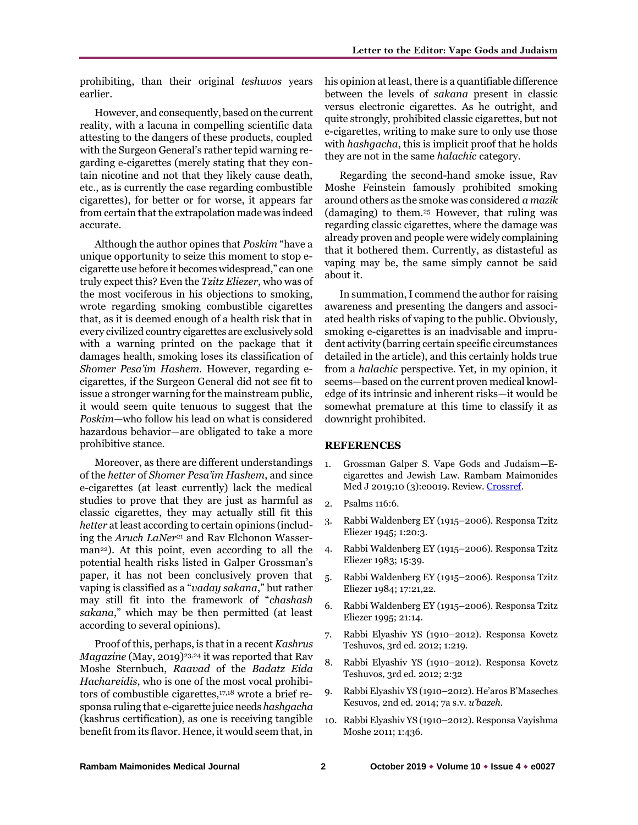prohibiting, than their original *teshuvos* years earlier.

However, and consequently, based on the current reality, with a lacuna in compelling scientific data attesting to the dangers of these products, coupled with the Surgeon General's rather tepid warning regarding e-cigarettes (merely stating that they contain nicotine and not that they likely cause death, etc., as is currently the case regarding combustible cigarettes), for better or for worse, it appears far from certain that the extrapolation made was indeed accurate.

Although the author opines that *Poskim* "have a unique opportunity to seize this moment to stop ecigarette use before it becomes widespread," can one truly expect this? Even the *Tzitz Eliezer*, who was of the most vociferous in his objections to smoking, wrote regarding smoking combustible cigarettes that, as it is deemed enough of a health risk that in every civilized country cigarettes are exclusively sold with a warning printed on the package that it damages health, smoking loses its classification of *Shomer Pesa'im Hashem.* However, regarding ecigarettes, if the Surgeon General did not see fit to issue a stronger warning for the mainstream public, it would seem quite tenuous to suggest that the *Poskim*—who follow his lead on what is considered hazardous behavior—are obligated to take a more prohibitive stance.

Moreover, as there are different understandings of the *hetter* of *Shomer Pesa'im Hashem*, and since e-cigarettes (at least currently) lack the medical studies to prove that they are just as harmful as classic cigarettes, they may actually still fit this *hetter* at least according to certain opinions (including the *Aruch LaNer<sup>21</sup>* and Rav Elchonon Wasserman22). At this point, even according to all the potential health risks listed in Galper Grossman's paper, it has not been conclusively proven that vaping is classified as a "*vaday sakana*," but rather may still fit into the framework of "*chashash sakana*," which may be then permitted (at least according to several opinions).

Proof of this, perhaps, is that in a recent *Kashrus Magazine* (May, 2019)<sup>23,24</sup> it was reported that Rav Moshe Sternbuch, *Raavad* of the *Badatz Eida Hachareidis*, who is one of the most vocal prohibitors of combustible cigarettes,17,18 wrote a brief responsa ruling that e-cigarette juice needs *hashgacha* (kashrus certification), as one is receiving tangible benefit from its flavor. Hence, it would seem that, in

his opinion at least, there is a quantifiable difference between the levels of *sakana* present in classic versus electronic cigarettes. As he outright, and quite strongly, prohibited classic cigarettes, but not e-cigarettes, writing to make sure to only use those with *hashgacha*, this is implicit proof that he holds they are not in the same *halachic* category.

Regarding the second-hand smoke issue, Rav Moshe Feinstein famously prohibited smoking around others as the smoke was considered *a mazik* (damaging) to them.<sup>25</sup> However, that ruling was regarding classic cigarettes, where the damage was already proven and people were widely complaining that it bothered them. Currently, as distasteful as vaping may be, the same simply cannot be said about it.

In summation, I commend the author for raising awareness and presenting the dangers and associated health risks of vaping to the public. Obviously, smoking e-cigarettes is an inadvisable and imprudent activity (barring certain specific circumstances detailed in the article), and this certainly holds true from a *halachic* perspective. Yet, in my opinion, it seems—based on the current proven medical knowledge of its intrinsic and inherent risks—it would be somewhat premature at this time to classify it as downright prohibited.

## **REFERENCES**

- 1. Grossman Galper S. Vape Gods and Judaism—Ecigarettes and Jewish Law. Rambam Maimonides Med J 2019;10 (3):e0019. Review[. Crossref.](https://doi.org/10.5041/RMMJ.10372)
- 2. Psalms 116:6.
- 3. Rabbi Waldenberg EY (1915–2006). Responsa Tzitz Eliezer 1945; 1:20:3.
- 4. Rabbi Waldenberg EY (1915–2006). Responsa Tzitz Eliezer 1983; 15:39.
- 5. Rabbi Waldenberg EY (1915–2006). Responsa Tzitz Eliezer 1984; 17:21,22.
- 6. Rabbi Waldenberg EY (1915–2006). Responsa Tzitz Eliezer 1995; 21:14.
- 7. Rabbi Elyashiv YS (1910–2012). Responsa Kovetz Teshuvos, 3rd ed. 2012; 1:219.
- 8. Rabbi Elyashiv YS (1910–2012). Responsa Kovetz Teshuvos, 3rd ed. 2012; 2:32
- 9. Rabbi Elyashiv YS (1910–2012). He'aros B'Maseches Kesuvos, 2nd ed. 2014; 7a s.v. *u'bazeh*.
- 10. Rabbi Elyashiv YS (1910–2012). Responsa Vayishma Moshe 2011; 1:436.